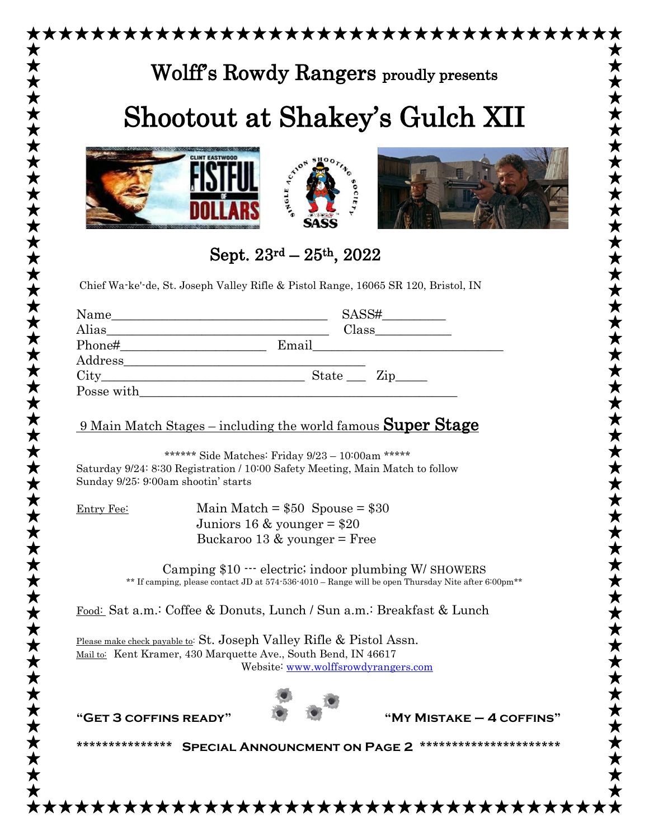|            | Wolff's Rowdy Rangers proudly presents                                                                                                                                                                                                                                                                                                                                                                                                                                                           |
|------------|--------------------------------------------------------------------------------------------------------------------------------------------------------------------------------------------------------------------------------------------------------------------------------------------------------------------------------------------------------------------------------------------------------------------------------------------------------------------------------------------------|
|            | Shootout at Shakey's Gulch XII                                                                                                                                                                                                                                                                                                                                                                                                                                                                   |
|            | SIBLE ACTION<br><b>90CIE</b>                                                                                                                                                                                                                                                                                                                                                                                                                                                                     |
|            | Sept. $23^{\text{rd}} - 25^{\text{th}}$ , $2022$                                                                                                                                                                                                                                                                                                                                                                                                                                                 |
|            | Chief Wa-ke'-de, St. Joseph Valley Rifle & Pistol Range, 16065 SR 120, Bristol, IN                                                                                                                                                                                                                                                                                                                                                                                                               |
|            |                                                                                                                                                                                                                                                                                                                                                                                                                                                                                                  |
|            | $\text{City}\_ \text{key}\_ \text{key}\_ \text{key}\_ \text{key}\_ \text{key}\_ \text{key}\_ \text{key}\_ \text{key}\_ \text{key}\_ \text{key}\_ \text{key}\_ \text{key}\_ \text{key}\_ \text{key}\_ \text{key}\_ \text{key}\_ \text{key}\_ \text{key}\_ \text{key}\_ \text{key}\_ \text{key}\_ \text{key}\_ \text{key}\_ \text{key}\_ \text{key}\_ \text{key}\_ \text{key}\_ \text{key}\_ \text{key}\_ \text{key}\_ \text{key}\_ \text{key}\_ \text{key}\_ \text{key}\_ \text{key}\_ \text{key$ |
|            |                                                                                                                                                                                                                                                                                                                                                                                                                                                                                                  |
|            | <u>9 Main Match Stages – including the world famous <b>Super Stage</b></u>                                                                                                                                                                                                                                                                                                                                                                                                                       |
|            | ****** Side Matches: Friday 9/23 - 10:00am *****<br>Saturday 9/24: 8:30 Registration / 10:00 Safety Meeting, Main Match to follow<br>Sunday 9/25: 9:00am shootin' starts                                                                                                                                                                                                                                                                                                                         |
| Entry Fee: | Main Match = $$50$ Spouse = $$30$                                                                                                                                                                                                                                                                                                                                                                                                                                                                |
|            | Juniors 16 & younger = $$20$<br>Buckaroo 13 $\&$ younger = Free                                                                                                                                                                                                                                                                                                                                                                                                                                  |
|            | Camping \$10 ··· electric; indoor plumbing W/ SHOWERS<br>** If camping, please contact JD at 574.536.4010 - Range will be open Thursday Nite after 6:00pm**                                                                                                                                                                                                                                                                                                                                      |
|            | Food: Sat a.m.: Coffee & Donuts, Lunch / Sun a.m.: Breakfast & Lunch                                                                                                                                                                                                                                                                                                                                                                                                                             |
|            | Please make check payable to: St. Joseph Valley Rifle & Pistol Assn.<br>Mail to: Kent Kramer, 430 Marquette Ave., South Bend, IN 46617<br>Website: www.wolffsrowdyrangers.com                                                                                                                                                                                                                                                                                                                    |
|            |                                                                                                                                                                                                                                                                                                                                                                                                                                                                                                  |
|            |                                                                                                                                                                                                                                                                                                                                                                                                                                                                                                  |

 $\bigstar$  $\bigstar$ 



★★

\*\*\*\*\*\*\*\*\*\*\*\*\*\*\*\*\*\*\*\*\*\*\*\*\*\*\*\*\*\*\*\*\*\*\*\*